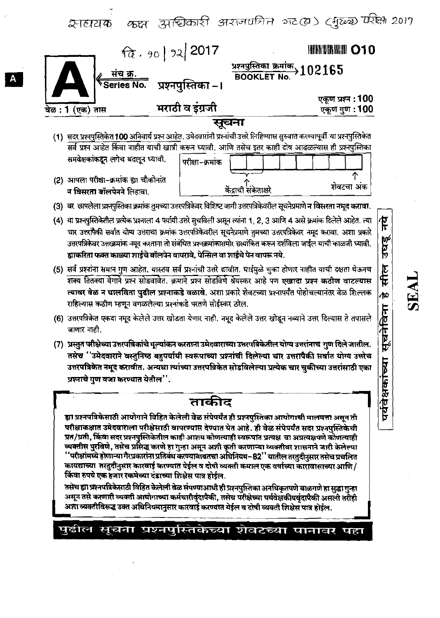|                 | $\frac{2017}{6}$                                      |                                                                                                                                   |
|-----------------|-------------------------------------------------------|-----------------------------------------------------------------------------------------------------------------------------------|
|                 | ' सं <u>च क्र.</u><br>' Series No. प्रश्नपुस्तिका - । | प्रश्नपुस्तिका क्रमांक <sub>&gt;102165</sub>                                                                                      |
| वेळ: 1 (एक) तास | मराठी व इंग्रजी                                       | एकूण प्रश्न : 100<br>एकूण गुण : 100                                                                                               |
|                 |                                                       | सूचना                                                                                                                             |
|                 |                                                       |                                                                                                                                   |
|                 |                                                       | (1) सदर प्रश्नपुस्तिकेत 100 अनिवार्य प्रश्न आहेत. उमेदवारांनी प्रश्नांची उत्तरे लिहिण्यास सुरुवात करण्यापूर्वी या प्रश्नपुस्तिकेत |
|                 | समवेक्षकांकडून लगेच बदलून घ्यावी.<br>परीक्षा-क्रमांक  | सर्व प्रश्न आहेत किंवा नाहीत याची खात्री करून घ्यावी. आणि तसेच इतर काही दोष आढळल्यास ही प्रश्नपुस्तिका                            |

- ואמאמולוג אי דאס וואפוס ואופן לוויט ופופיר אי וואומאל מפו चार उत्तरांपैकी सर्वात योग्य उत्तराचा क्रमांक उत्तरपत्रिकेवरील सूचनेप्रमाणे तुमच्या उत्तरपत्रिकेवर नमूद करावा. अशा प्रकारे उत्तरपत्रिकेवर उत्तरक्रमांक नमूद करताना तो संबंधित प्रश्नक्रमांकासमोर छाथांकित करून दर्शविला जाईल याची काळजी घ्यावी. ह्याकरिता फक्त काळ्या शाईचे बॉलपेन वापरावे, पेन्सिल वा शाईचे पेन वापरू नये.
- (5) सर्व प्रश्नांना समान गुण आहेत. यास्तव सर्व प्रश्नांची उत्तरे द्यावीत. घाईमुळे चुका होणार नाहीत याची दक्षता घेऊनच शक्य तितक्या वेगाने प्रश्न सोडवावेत. क्रमाने प्रश्न सोडविणे श्रेयस्कर आहे पण एखादा प्रश्न कठीण वाटल्यास त्त्यावर वेळ न घालविता पुढील प्रश्नाकडे वळावे. अशा प्रकारे शेवटच्या प्रश्नापर्यंत पोहोचल्यानंतर वेळ शिल्लक राहिल्यास कठीण म्हणून वगळलेल्या प्रश्नांकडे परतणे सोईस्कर ठरेल.
- (6) उत्तरपत्रिकेत एकदा नमूद केलेले उत्तर खोडता येणार नाही. नमूद केलेले उत्तर खोडून नव्याने उत्तर दिल्यास ते तपासले जाणार नाही.
- (7) प्रस्तुत परीक्षेच्या उत्तरपत्रिकांचे मूल्यांकन करताना उमेदवाराच्या उत्तरपत्रिकेतील योग्य उत्तरांनाच गुण दिले जातील. तसेच ''उमेदवाराने वस्तुनिष्ठ बहुपर्यायी स्वरूपाच्या प्रश्नांची दिलेल्या चार उत्तरापैकी सर्वात योग्य उत्तरेच उत्तरपत्रिकेत नमूद करावीत. अन्यथा त्यांच्या उत्तरपत्रिकेत सोडविलेल्या प्रत्येक चार चुकीच्या उत्तरांसाठी एका प्रश्नाचे गुण वजा करण्यात येतील''.

# ताकीद

ह्या प्रश्नपत्रिकेसाठी आयोगाने विहित केलेली वेळ संपेपर्यंत ही प्रश्नपुस्तिका आयोगाची मालमत्ता असून ती षरीक्षाकक्षात उमेदवाराला परीक्षेसाठी वापरण्यास देण्यात येत आहे. ही वेळ संपेपर्यंत सदर प्रश्नमुस्तिकेची प्रत/प्रती, किंवा सदर प्रश्नपुस्तिकेतील काही आशय कोणत्याही स्वरूपात प्रत्यक्ष वा अप्रत्यक्षपणे कोणत्याही व्यक्तीस पुरविणे, तसेच प्रसिद्ध करणे हा गुन्हा असून अशी कृती करणाऱ्या व्यक्तीवर शासनाने जारी केलेल्या ''परीक्षांमध्ये होणाऱ्या गैरप्रकारांना प्रतिबंध करण्याबाबतचा अधिनियम-82'' यातील तरतुदीनुसार तसेच प्रचलित कायद्याच्या तरतुदीनुसार कारवाई करण्यात येईल व दोषी व्यक्ती कमाल एक वर्षाच्या कारावासाच्या आणि/ किंवा रुपये एक हजार रकमेच्या दंडाच्या शिक्षेस पात्र होईल.

तसेच ह्या प्रश्नपत्रिकेसाठी विहित केलेली वेळ संपण्याआधी ही प्रश्नपुस्तिका अनधिकृतपणे बाळगणे हा सुद्धा गुन्हा असून तसे करणारी व्यक्ती आयोगाच्या कर्मचारीवृंदापैकी, तसेच परीक्षेच्या पर्यवेक्षकीयवृंदापैकी असली तरीही अशा व्यक्तीविरूद्ध उक्त अधिनियमानुसार कारवाई करण्यात येईल व दोषी व्यक्ती शिक्षेस पात्र होईल.

## पुढील सूचना प्रश्नपुस्तिकेच्या शेवटच्या पानावर पहा

राष्ट्र<br>उघर सील ተ सूचनेजिना पर्यवेक्षकांच्या

ᠮ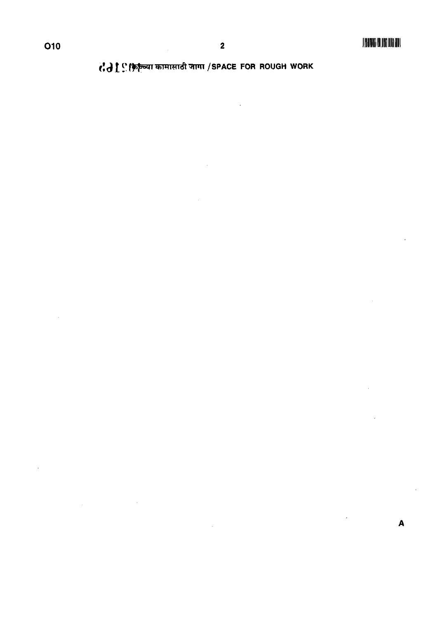$\hat{\mathcal{A}}$ 

 $\label{eq:2.1} \frac{1}{\sqrt{2\pi}}\int_{\mathbb{R}^3}\left|\frac{d\mathbf{x}}{d\mathbf{x}}\right|^2\,d\mathbf{x}^2\,d\mathbf{x}^2\,d\mathbf{x}^2\,d\mathbf{x}^2\,d\mathbf{x}^2\,d\mathbf{x}^2\,d\mathbf{x}^2\,d\mathbf{x}^2\,d\mathbf{x}^2\,d\mathbf{x}^2\,d\mathbf{x}^2\,d\mathbf{x}^2\,d\mathbf{x}^2\,d\mathbf{x}^2\,d\mathbf{x}^2\,d\mathbf{x}^2\,d\mathbf$ 

 $\bar{\mathcal{A}}$ 

 $\bar{z}$ 

 $\overline{\mathbf{2}}$ 

 $\ddot{\phantom{a}}$ 

 $\boldsymbol{\mathsf{A}}$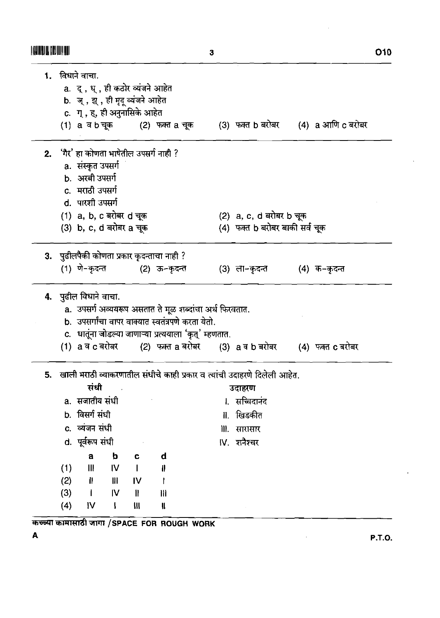| 1. विधाने वाचा.                                                             |                                                                   |
|-----------------------------------------------------------------------------|-------------------------------------------------------------------|
| a. द्, ध्, ही कठोर व्यंजने आहेत                                             |                                                                   |
| b. ज् , झ् , ही मृदू व्यंजने आहेत                                           |                                                                   |
| c. ग् , ह, ही अनुनासिके आहेत                                                |                                                                   |
|                                                                             | (1) a व b चूक (2) फक्त a चूक (3) फक्त b बरोबर (4) a आणि c बरोबर   |
|                                                                             |                                                                   |
| 2. 'गैर' हा कोणता भाषेतील उपसर्ग नाही ?                                     |                                                                   |
| a. संस्कृत उपसर्ग                                                           |                                                                   |
| b. अरबी उपसर्ग                                                              |                                                                   |
| c. मराठी उपसर्ग                                                             |                                                                   |
| d. पारशी उपसर्ग                                                             |                                                                   |
| (1) a, b, c बरोबर d चूक                                                     | (2) a, c, d बरोबर b चूक                                           |
| (3) b, c, d बरोबर a चूक                                                     | (4) फक्त b बरोबर बाकी सर्व चूक                                    |
|                                                                             |                                                                   |
| 3. पुढीलपैकी कोणता प्रकार कृदन्ताचा नाही ?                                  |                                                                   |
| (1) णे−कृदन्त             (2) ऊ−कृदन्त                                      | (3) ला-कृदन्त (4) क-कृदन्त                                        |
|                                                                             |                                                                   |
| 4. पुढील विधाने वाचा.                                                       |                                                                   |
| a.  उपसर्ग अव्ययरूप असतात ते मूळ शब्दांचा अर्थ फिरवतात.                     |                                                                   |
| b. उपसर्गांचा वापर वाक्यात स्वतंत्रपणे करता येतो.                           |                                                                   |
| c. धातूंना जोडल्या जाणाऱ्या प्रत्ययाला 'कृत्' म्हणतात.                      |                                                                   |
|                                                                             | (1) a व c बरोबर (2) फक्त a बरोबर (3) a व b बरोबर (4) फक्त c बरोबर |
|                                                                             |                                                                   |
| 5. खाली मराठी व्याकरणातील संधीचे काही प्रकार व त्यांची उदाहरणे दिलेली आहेत. |                                                                   |
| संधी                                                                        |                                                                   |
| a. सजातीय संधी                                                              | उदाहरण<br>।. सच्चिदानंद                                           |
| b. विसर्ग संधी                                                              | ॥. खिडकीत                                                         |
|                                                                             |                                                                   |
| c. व्यंजन संधी                                                              | ॥। सारासार                                                        |
| d. पूर्वरूप संधी                                                            | IV. शनैश्चर                                                       |
| þ<br>$\mathbf a$<br>$\mathbf d$<br>C                                        |                                                                   |
| (1)<br>$\mathbf{III}$<br>$\mathsf{IV}$<br>11                                |                                                                   |
| (2)<br>II<br>$\mathbf{H}$<br>IV                                             |                                                                   |
| (3)<br>$\mathsf{IV}$<br>$\mathbf{I}$<br>$\mathbf l$<br>$\mathbf{m}$         |                                                                   |
| (4)<br>IV<br>Ш<br>$\mathbf{I}$<br>$\mathfrak{m}$                            |                                                                   |
|                                                                             |                                                                   |

कच्चा कामासाठी जागा / SPACE FOR ROUGH WORK

 $\mathcal{A}^{\mathcal{A}}$ 

 $\mathbf{3}$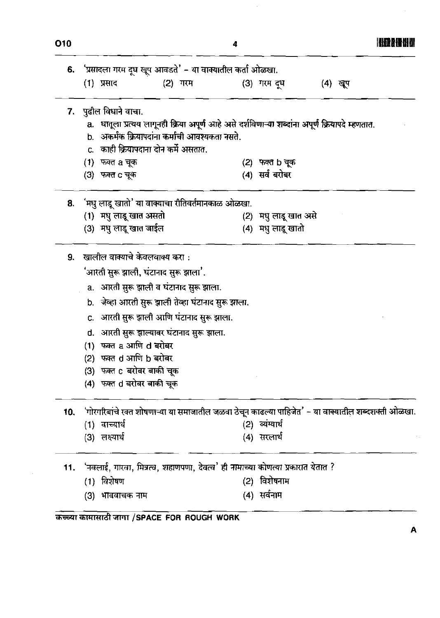| 6.  |     |                           | र्'प्रसादला गरम दूध खूप आवडते' – या वाक्यातील कर्ता ओळखा.                                          |                      |         |  |
|-----|-----|---------------------------|----------------------------------------------------------------------------------------------------|----------------------|---------|--|
|     |     | (1) प्रसाद                | (2) गरम                                                                                            | (3) गरम दूध          | (4) खूप |  |
|     |     | 7. पुढील विधाने वाचा.     |                                                                                                    |                      |         |  |
|     |     |                           | a. धातूला प्रत्यय लागूनही क्रिया अपूर्ण आहे असे दर्शविणाऱ्या शब्दांना अपूर्ण क्रियापदे म्हणतात.    |                      |         |  |
|     |     |                           | b. अकर्मक क्रियापदांना कर्माची आवश्यकता नसते.                                                      |                      |         |  |
|     |     |                           | c. काही क्रियापदाना दोन कर्मे असतात.                                                               |                      |         |  |
|     |     | (1) फक्त a चूक            |                                                                                                    | (2) फक्त b चूक       |         |  |
|     |     | (3) फक्त c चूक            |                                                                                                    | (4) सर्व बरोबर       |         |  |
|     |     |                           | 8. 'मधु लाड़ू खातो' या वाक्याचा रीतिवर्तमानकाळ ओळखा.                                               |                      |         |  |
|     |     | (1) मधु लाडू खात असतो     |                                                                                                    | (2) मधु लाडू खात असे |         |  |
|     |     | (3) मधु लाडू खात जाईल     |                                                                                                    | (4) मधु लाडू खातो    |         |  |
| 9.  |     |                           | खालील वाक्याचे केवलवाक्य करा :                                                                     |                      |         |  |
|     |     |                           | 'आरती सुरू झाली, घंटानाद सुरू झाला'.                                                               |                      |         |  |
|     |     |                           | a.  आरती सुरू झाली व घंटानाद सुरू झाला.                                                            |                      |         |  |
|     |     |                           | b.   जेव्हा आरती सुरू झाली तेव्हा घंटानाद सुरू झाला.                                               |                      |         |  |
|     |     |                           | c.  आरती सुरू झाली आणि घंटानाद सुरू झाला.                                                          |                      |         |  |
|     |     |                           | d. आरती सुरू झाल्यावर घंटानाद सुरू झाला.                                                           |                      |         |  |
|     |     | (1) फक्त a आणि d बरोबर    |                                                                                                    |                      |         |  |
|     |     | (2) फक्त d आणि b बरोबर    |                                                                                                    |                      |         |  |
|     |     | (3) फक्त c बरोबर बाकी चूक |                                                                                                    |                      |         |  |
|     |     | (4) फक्त d बरोबर बाकी चूक |                                                                                                    |                      |         |  |
| 10. |     |                           | 'गोरगरिबांचे रक्त शोषणाऱ्या या समाजातील जळवा ठेचून काढल्या पाहिजेत' - या वाक्यातील शब्दशक्ती ओळखा. |                      |         |  |
|     |     | (1) वाच्यार्थ             |                                                                                                    | (2) व्यंग्यार्थ      |         |  |
|     |     | (3) लक्ष्यार्थ            |                                                                                                    | (4) सरलार्थ          |         |  |
| 11. |     |                           | 'नवलाई, गारवा, मित्रत्व, शहाणपणा, देवत्व' ही नामाच्या कोणत्या प्रकारात येतात ?                     |                      |         |  |
|     |     | (1) विशेषण                |                                                                                                    | (2) विशेषनाम         |         |  |
|     | (3) | भाववाचक नाम               |                                                                                                    | (4) सर्वनाम          |         |  |

 $\mathcal{L}_{\mathcal{A}}$ 

 $\mathcal{A}^{\mathcal{A}}$ 

 $\mathbf{A}$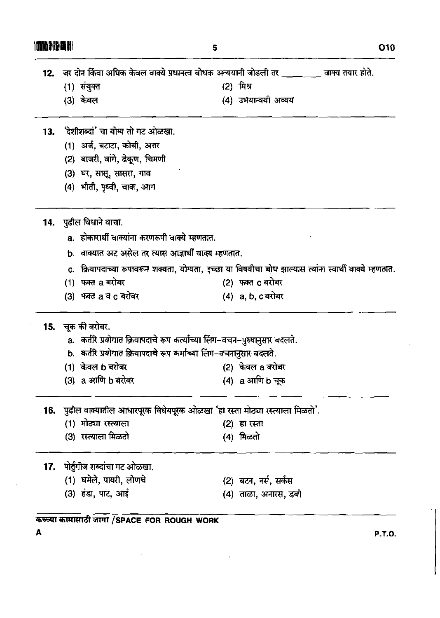| 12. जर दोन किंवा अधिक केवल वाक्ये प्रधानत्व बोधक अव्ययानी जोडली तर ________ वाक्य तयार होते.             |                      |  |
|----------------------------------------------------------------------------------------------------------|----------------------|--|
| (1) संयुक्त                                                                                              | (2) ਸਿੰਬ             |  |
| (3) केवल                                                                                                 | (4) उभयान्वयी अव्यय  |  |
| 13. 'देशीशब्दां' चा योम्य तो गट ओळखा.                                                                    |                      |  |
| (1) अर्ज, बटाटा, कोबी, अत्तर                                                                             |                      |  |
| (2) बाजरी, वांगे, ढेकूण, चिमणी                                                                           |                      |  |
| (3) घर, सासू, सासरा, गाव                                                                                 |                      |  |
| (4) भीती, पृथ्वी, चाक, आग                                                                                |                      |  |
| 14. पुढील विधाने वाचा.                                                                                   |                      |  |
| a. होकारार्थी वाक्यांना करणरूपी वाक्ये म्हणतात.                                                          |                      |  |
| b.  वाक्यात अट असेल तर त्यास आज्ञार्थी वाक्य म्हणतात.                                                    |                      |  |
| c. क्रियापदाच्या रूपावरून शक्यता, योग्यता, इच्छा या विषयीचा बोध झाल्यास त्यांना स्वार्थी वाक्ये म्हणतात. |                      |  |
| (1) फक्त a बरोबर                                                                                         | (2) फक्त c बरोबर     |  |
| (3) फक्त a व c बरोबर                                                                                     | (4) a, b, c बरोबर    |  |
| 15. चूक की बरोबर.                                                                                        |                      |  |
| a.  कर्तरि प्रयोगात क्रियापदाचे रूप कर्त्याच्या लिंग-वचन-पुरुषानुसार बदलते.                              |                      |  |
| b.  कर्तरि प्रयोगात क्रियापदाचे रूप कर्माच्या लिंग-वचनानुसार बदलते.                                      |                      |  |
| (1) केवल b बरोबर                                                                                         | (2) केवल a बरोबर     |  |
| (3) a आणि b बरोबर                                                                                        | (4) a आणि b चूक      |  |
| 16. पुढील वाक्यातील आधारपूरक विधेयपूरक ओळखा 'हा रस्ता मोठ्या रस्त्याला मिळतो'.                           |                      |  |
| (1) मोठ्या रस्त्याला                                                                                     | (2) हा रस्ता         |  |
| (3) रस्त्याला मिळतो                                                                                      | (4) मिळतो            |  |
| 17. पोर्तुगीज शब्दांचा गट ओळखा.                                                                          |                      |  |
| (1) घमेले, पायरी, लोणचे                                                                                  | (2) बटन, नर्स, सर्कस |  |
| (3) हंडा, पाट, आई                                                                                        | (4) ताळा, अनारस, डबी |  |
|                                                                                                          |                      |  |

 $\mathbf{A}$ 

**P.T.O.**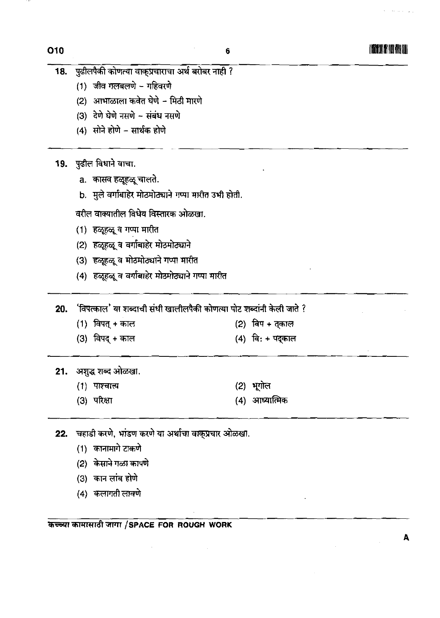19 M

 $\mathcal{A}(\mathcal{A})$  and  $\mathcal{A}(\mathcal{A})$ 

 $\hat{S}$  , and  $\hat{S}$  ,  $\hat{S}$ 

|     | 18. पुढीलपैकी कोणत्या वाक्प्रचाराचा अर्थ बरोबर नाही ?                 |                  |  |
|-----|-----------------------------------------------------------------------|------------------|--|
|     | (1) जीव गलबलणे - गहिवरणे                                              |                  |  |
|     | (2) आभाळाला कवेत घेणे - मिठी मारणे                                    |                  |  |
|     | (3) देणे घेणे नसणे - संबंध नसणे                                       |                  |  |
|     | (4) सोने होणे – सार्थक होणे                                           |                  |  |
|     | 19. पुढील विधाने वाचा.                                                |                  |  |
|     | a.  कासव हळूहळू चालते.                                                |                  |  |
|     | b. मुले वर्गाबाहेर मोठमोठ्याने गप्पा मारीत उभी होती.                  |                  |  |
|     | वरील वाक्यातील विधेय विस्तारक ओळखा.                                   |                  |  |
|     | (1) हळूहळू व गप्पा मारीत                                              |                  |  |
|     | (2) हळूहळू व वर्गाबाहेर मोठमोठ्याने                                   |                  |  |
|     | (3)) हळूहळू व मोठमोठ्याने गप्पा मारीत                                 |                  |  |
|     | (4) हळूहळू व वर्गाबाहेर मोठमोठ्याने गप्पा मारीत                       |                  |  |
| 20. | 'विपत्काल' या शब्दाची संधी खालीलपैकी कोणत्या पोट शब्दांनी केली जाते ? |                  |  |
|     | (1) विपत् + काल                                                       | (2) विप + तुकाल  |  |
|     | (3) विपद् + काल                                                       | (4) वि: + पद्काल |  |
|     | 21. अशुद्ध शब्द ओळखा.                                                 |                  |  |
|     | (1) पाश्चात्य                                                         | (2) भूगोल        |  |
|     | (3) परिक्षा                                                           | (4) आध्यात्मिक   |  |
| 22. | चहाडी करणे, भांडण करणे या अर्थाचा वाक्प्रचार ओळखा.                    |                  |  |
|     | (1) कानामागे टाकणे                                                    |                  |  |
|     | (2) केसाने गळा कापणे                                                  |                  |  |
|     | (3) कान लांब होणे                                                     |                  |  |
|     |                                                                       |                  |  |

(4) कलागती लावणे

कच्च्या कामासाठी जागा / SPACE FOR ROUGH WORK

 $\label{eq:2.1} \frac{1}{\sqrt{2\pi}}\int_{\mathbb{R}^3}\frac{1}{\sqrt{2\pi}}\int_{\mathbb{R}^3}\frac{1}{\sqrt{2\pi}}\int_{\mathbb{R}^3}\frac{1}{\sqrt{2\pi}}\int_{\mathbb{R}^3}\frac{1}{\sqrt{2\pi}}\int_{\mathbb{R}^3}\frac{1}{\sqrt{2\pi}}\int_{\mathbb{R}^3}\frac{1}{\sqrt{2\pi}}\int_{\mathbb{R}^3}\frac{1}{\sqrt{2\pi}}\int_{\mathbb{R}^3}\frac{1}{\sqrt{2\pi}}\int_{\mathbb{R}^3}\frac{1$ 

 $\mathbb{Z}$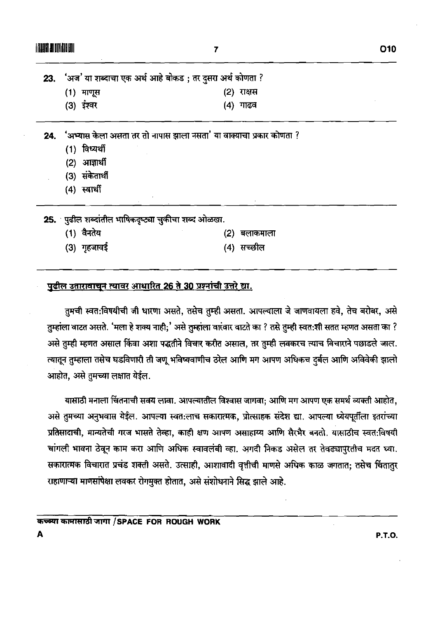'अज' या शब्दाचा एक अर्थ आहे बोकड; तर दुसरा अर्थ कोणता ? 23.

- (1) माणूस (2) राक्षस
- (3) ईश्वर (4) गाढव

'अभ्यास केला असता तर तो नापास झाला नसता' या वाक्याचा प्रकार कोणता ? 24.

- (1) विध्यर्थी
- $(2)$  आज्ञार्थी
- (3) संकेतार्थी
- (4) स्वार्थी

25. पुढील शब्दांतील भाषिकदृष्ट्या चुकीचा शब्द ओळखा.

- (1) वैनतेय
- (3) गृहजावई
- (2) बलाकमाला
- (4) सच्छील

### पुढील उतारावाचून त्यावर आधारित 26 ते 30 प्रश्नांची उत्तरे द्या.

तुमची स्वत:विषयीची जी धारणा असते, तसेच तुम्ही असता. आपल्याला जे जाणवायला हवे, तेच बरोबर, असे तुम्हांला वाटत असते. 'मला हे शक्य नाही;' असे तुम्हांला वारंबार वाटते का ? तसे तुम्ही स्वत:शी सतत म्हणत असता का ? असे तुम्ही म्हणत असाल किंवा अशा पद्धतीने विचार करीत असाल, तर तुम्ही लवकरच त्याच विचाराने पछाडले जाल. त्यातून तुम्हाला तसेच घडविणारी ती जणू भविष्यवाणीच ठरेल आणि मग आपण अधिकच दुर्बल आणि अविवेकी झालो आहोत, असे तुमच्या लक्षात येईल.

यासाठी मनाला चिंतनाची सवय लावा. आपल्यातील विश्वास जागवा; आणि मग आपण एक समर्थ व्यक्ती आहोत, असे तुमच्या अनुभवास येईल. आपल्या स्वतःलाच सकारात्मक, प्रोत्साहक संदेश द्या. आपल्या ध्येयपूर्तीला इतरांच्या प्रतिसादाची, मान्यतेची गरज भासते तेव्हा, काही क्षण आपण असाहाय्य आणि सैरभैर बनतो. यासाठीच स्वतःविषयी चांगली भावना ठेवून काम करा आणि अधिक स्वावलंबी व्हा. अगदी निकड असेल तर तेवढ्यापुरतीच मदत घ्या. सकारात्मक विचारात प्रचंड शक्ती असते. उत्साही, आशावादी वृत्तीची माणसे अधिक काळ जगतात; तसेच चिंतातुर राहाणाऱ्या माणसांपेक्षा लवकर रोगमुक्त होतात, असे संशोधनाने सिद्ध झाले आहे.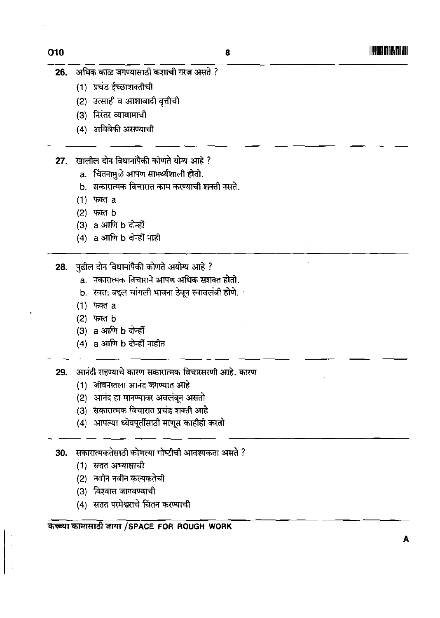O<sub>10</sub>

- अधिक काळ जगण्यासाठी कशाची गरज असते ? 26.
	- (1) प्रचंड ईच्छाशक्तीची
	- (2) उत्साही व आशावादी वृत्तीची
	- (3) निरंतर व्यायामाची
	- (4) अविवेकी असण्याची
- खालील दोन विधानांपैकी कोणते योग्य आहे ?  $27.$ 
	- a. चिंतनामुळे आपण सामर्थ्यशाली होतो.
	- b. सकारात्मक विचारात काम करण्याची शक्ती नसते.
	- (1) फक्त a
	- (2) फक्त b
	- $(3)$  a आणि b दोन्हीं
	- (4) a आणि b दोन्हीं नाही
- 28. पुढील दोन विधानांपैकी कोणते अयोग्य आहे ?
	- a. नकारात्मक विचाराने आपण अधिक सशक्त होतो.
	- b. स्वतः बद्दल चांगली भावना ठेवून स्वावलंबी होणे.
	- $(1)$  फक्त a
	- (2) फक्त b
	- (3) a आणि b दोन्हीं
	- (4) a आणि b दोन्हीं नाहीत
- आनंदी राहण्याचे कारण सकारात्मक विचारसरणी आहे. कारण 29.
	- (1) जीवनातला आनंद जगण्यात आहे
	- (2) आनंद हा मानण्यावर अवलंबून असतो
	- (3) सकारात्मक विचारात प्रचंड शक्ती आहे
	- (4) आपल्या ध्येयपूर्तीसाठी माणूस काहीही करतो
- सकारात्मकतेसाठी कोणत्या गोष्टीची आवश्यकता असते ? 30.
	- (1) सतत अभ्यासाची
	- (2) नवीन नवीन कल्पकतेची
	- (3) विश्वास जागवण्याची
	- (4) सतत परमेश्वराचे चिंतन करण्याची

कच्च्या कामासाठी जागा /SPACE FOR ROUGH WORK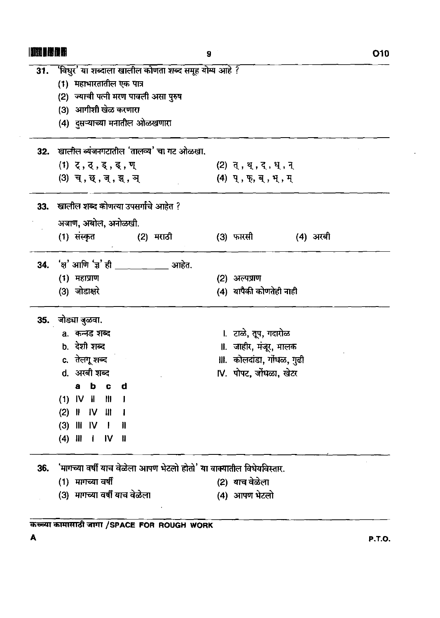| IOBI LON N |                                                                                                                                                                                                                                  | 9                                                                                                   | <b>O10</b> |
|------------|----------------------------------------------------------------------------------------------------------------------------------------------------------------------------------------------------------------------------------|-----------------------------------------------------------------------------------------------------|------------|
|            | 31. 'विधुर' या शब्दाला खालील कोणता शब्द समूह योग्य आहे ?<br>(1) महाभारतातील एक पात्र<br>(2) ज्याची पत्नी मरण पावली असा पुरुष<br>(3) आगीशी खेळ करणारा<br>(4) दुसऱ्याच्या मनातील ओळखणारा                                           |                                                                                                     |            |
|            | 32. खालील व्यंजनगटातील 'तालव्य' चा गट ओळखा.<br>(1) ट्, ठ्, ड्, ढ्, ण्<br>(3) च्,छ्,ज्,इ,,ञ्                                                                                                                                      | (2) त्, थ्, द्, ध्, न्<br>(4) प्,फ्,ब्,भ्,म्                                                        |            |
|            | 33.   खालील शब्द कोणत्या उपसर्गाचे आहेत ?                                                                                                                                                                                        |                                                                                                     |            |
|            | अजाण, अबोल, अनोळखी.<br>(1) संस्कृत<br>(2) मराठी                                                                                                                                                                                  | (3) फारसी<br>(4) अरबी                                                                               |            |
|            | 34. 'क्ष' आणि 'ज्ञ' ही ______<br><u>___</u> आहेत.<br>(1) महाप्राण<br>(3) जोडाक्षरे                                                                                                                                               | (2) अल्पप्राण<br>(4) यांपैकी कोणतेही नाही                                                           |            |
|            | 35.   जोड्या जुळवा.<br>a.  कनड शब्द<br>b. देशी शब्द<br>c. तेलगू शब्द<br>d. अरबी शब्द<br>b<br>d<br>a<br>$\mathbf{c}$<br>$(1)$ IV ii<br>$\blacksquare$<br>$(2)$ H IV III<br>$(3)$ III IV<br>$\mathbf{I}$ if<br>$(4)$ III IV<br>- 8 | ।. टाळे, तूप, गदारोळ<br>॥. जाहीर, मंजूर, मालक<br>॥. कोलदांडा, गोंधळ, गुढी<br>IV. पोपट, जोंघळा, खेटर |            |
| 36.        | 'मागच्या वर्षी याच वेळेला आपण भेटलो होतो' या वाक्यातील विधेयविस्तार.<br>(1) मागच्या वर्षी<br>(3) मागच्या वर्षी याच वेळेला<br>कच्च्या कामासाठी जागा /SPACE FOR ROUGH WORK                                                         | (2) याच वेळेला<br>(4) आपण भेटलो                                                                     |            |

 $\mathbf{A}$ 

 $\mathcal{L}^{\mathcal{L}}$ 

 $\hat{\mathcal{L}}$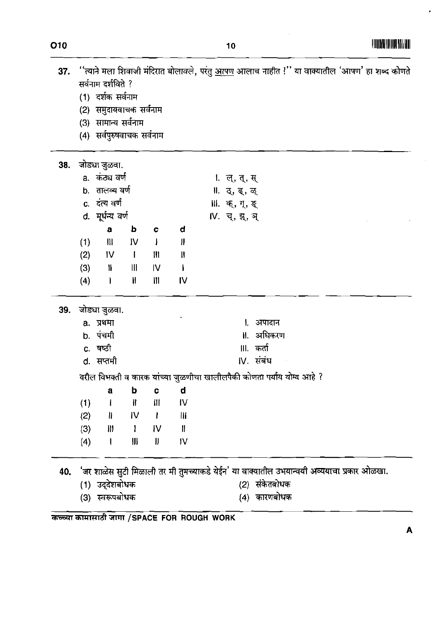|  | I |
|--|---|
|--|---|

 $\hat{\mathbf{r}}$ 

t,

|     |     | सर्वनाम दर्शविते ?                          |                         |                |                |                 |                                                                                           |
|-----|-----|---------------------------------------------|-------------------------|----------------|----------------|-----------------|-------------------------------------------------------------------------------------------|
|     |     | (1) दर्शक सर्वनाम<br>(2) समुदायवाचक सर्वनाम |                         |                |                |                 |                                                                                           |
|     |     | (3) सामान्य सर्वनाम                         |                         |                |                |                 |                                                                                           |
|     |     | (4) सर्वपुरुषवाचक सर्वनाम                   |                         |                |                |                 |                                                                                           |
|     |     |                                             |                         |                |                |                 |                                                                                           |
| 38. |     | जोड्या जुळवा.                               |                         |                |                |                 |                                                                                           |
|     |     | a.  कठ्य वर्ण                               |                         |                |                | 1. ल्, त्, स्   |                                                                                           |
|     |     | b. तालव्य वर्ण                              |                         |                |                | ॥ उ, ढ्, ळ्     |                                                                                           |
|     |     | c दंत्य वर्ण                                |                         |                |                | lll. क्, ग्, ङ् |                                                                                           |
|     |     | d. मूर्धन्य वर्ण                            |                         |                |                | IV. च्, झ्, ञ्  |                                                                                           |
|     |     | a                                           | b                       | c              | d              |                 |                                                                                           |
|     | (1) | $\mathbf{III}$                              | <b>IV</b>               | $\mathbf{I}$   | ∦              |                 |                                                                                           |
|     | (2) | IV                                          | $\blacksquare$          | $\mathbf{  }$  | JJ             |                 |                                                                                           |
|     | (3) | $\mathbf{\mathsf{I}}$                       | $\mathbf{III}$          | 1V             | $\mathbf{I}$   |                 |                                                                                           |
|     | (4) |                                             | $\mathbf{H}$            | $\mathbf{III}$ | IV             |                 |                                                                                           |
| 39. |     | जोड्या जुळवा.                               |                         |                |                |                 |                                                                                           |
|     |     | a. प्रथमा                                   |                         |                |                |                 | 1. अपादान                                                                                 |
|     |     | b. पंचमी                                    |                         |                |                |                 | ॥. अधिकरण                                                                                 |
|     |     | c. षष्ठी                                    |                         |                |                |                 | Ⅲ. कर्ता                                                                                  |
|     |     | d. सप्तमी                                   |                         |                |                |                 | IV. संबंध                                                                                 |
|     |     |                                             |                         |                |                |                 | वरील विभक्ती व कारक यांच्या जुळणीचा खालीलपैकी कोणता पर्याय योग्य आहे ?                    |
|     |     | а                                           | b                       | C              | d              |                 |                                                                                           |
|     | (1) |                                             | $\mathbf{R}$            | Ш              | IV             |                 |                                                                                           |
|     | (2) | - 11                                        | <b>IV</b>               | $\mathcal{L}$  | Ш              |                 |                                                                                           |
|     | (3) | W                                           | <b>TERMINAL RESERVE</b> |                | $\mathbb{R}^n$ |                 |                                                                                           |
|     | (4) |                                             | 册                       | W              | $\mathsf{IV}$  |                 |                                                                                           |
| 40. |     |                                             |                         |                |                |                 | 'जर शाळेस सुटी मिळाली तर मी तुमच्याकडे येईन' या वाक्यातील उभयान्वयी अव्ययाचा प्रकार ओळखा. |
|     |     | (1) उद्देशबोधक                              |                         |                |                |                 | (2) संकेतबोधक                                                                             |
|     |     | (3) स्वरूपबोधक                              |                         |                |                |                 | $(4)$ कारणबोधक                                                                            |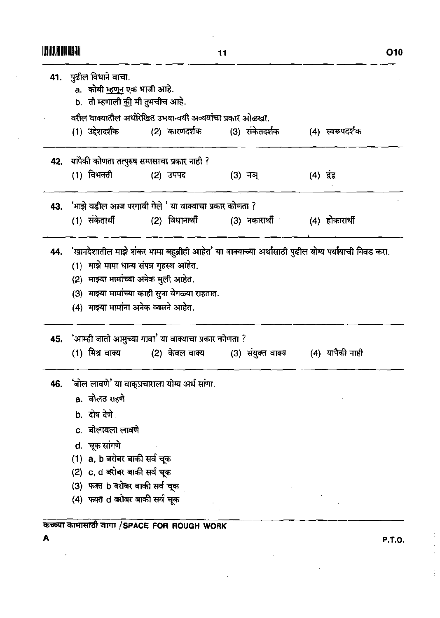|     | 41. पुढील विधाने वाचा.<br>a. कोबी <u>म्हणन</u> एक भाजी आहे.      |                                                                                                        |                |                                   |
|-----|------------------------------------------------------------------|--------------------------------------------------------------------------------------------------------|----------------|-----------------------------------|
|     |                                                                  | b. ती म्हणाली <u>की</u> मी तुमचीच आहे.                                                                 |                |                                   |
|     |                                                                  | वरील वाक्यातील अधोरेखित उभयान्वयी अव्ययांचा प्रकार ओळखा.                                               |                |                                   |
|     |                                                                  |                                                                                                        | (3) संकेतदर्शक | (4) स्वरूपदर्शक                   |
|     |                                                                  | 42. यांपैकी कोणता तत्पुरुष समासाचा प्रकार नाही ?                                                       |                |                                   |
|     | (1) विभक्त <u>ी</u>                                              | (2) उपपद                                                                                               | (3) नञ्        | $(4)$ $\vec{a}$                   |
|     |                                                                  | 43. 'माझे वडील आज परगावी गेले ' या वाक्याचा प्रकार कोणता ?                                             |                |                                   |
|     |                                                                  |                                                                                                        |                | (4) होकारार्थी                    |
|     |                                                                  | 44. 'खानदेशातील माझे शंकर मामा बहुव्रीही आहेत' या वाक्याच्या अर्थासाठी पुढील योग्य पर्यायाची निवड करा. |                |                                   |
|     |                                                                  | (1) माझे मामा धान्य संपन्न गृहस्थ आहेत.                                                                |                |                                   |
|     |                                                                  | (2) माझ्या मामांच्या अनेक मुली आहेत.                                                                   |                |                                   |
|     |                                                                  | (3) माझ्या मामांच्या काही सुना वेगळ्या राहतात.                                                         |                |                                   |
|     |                                                                  | (4) माझ्या मामांना अनेक व्यसने आहेत.                                                                   |                |                                   |
|     |                                                                  | 45. 'आम्ही जातो आमुच्या गावा' या वाक्याचा प्रकार कोणता ?                                               |                |                                   |
|     |                                                                  | (1) मिश्र वाक्य           (2) केवल वाक्य                                                               |                | (3) संयुक्त वाक्य (4) यापैकी नाही |
|     |                                                                  | ंबोल लावणे' या वाक्प्रचाराला योग्य अर्थ सांगा.                                                         |                |                                   |
| 46. | a. बोलत राहणे                                                    |                                                                                                        |                |                                   |
|     |                                                                  |                                                                                                        |                |                                   |
|     | b. दोष देणे.                                                     |                                                                                                        |                |                                   |
|     | c. बोलायला लावणे                                                 |                                                                                                        |                |                                   |
|     | d. चूक सांगणे                                                    |                                                                                                        |                |                                   |
|     | (1) a, b बरोबर बाकी सर्व चूक                                     |                                                                                                        |                |                                   |
|     | (2) c, d बरोबर बाकी सर्व चूक                                     |                                                                                                        |                |                                   |
|     | (3) फक्त b बरोबर बाकी सर्व चूक<br>(4) फक्त d बरोबर बाकी सर्व चूक |                                                                                                        |                |                                   |

 $\mathcal{L}^{\text{max}}_{\text{max}}$  and  $\mathcal{L}^{\text{max}}_{\text{max}}$  and  $\mathcal{L}^{\text{max}}_{\text{max}}$ 

 $\overline{A}$ 

**P.T.O.** 

 $\frac{1}{2}$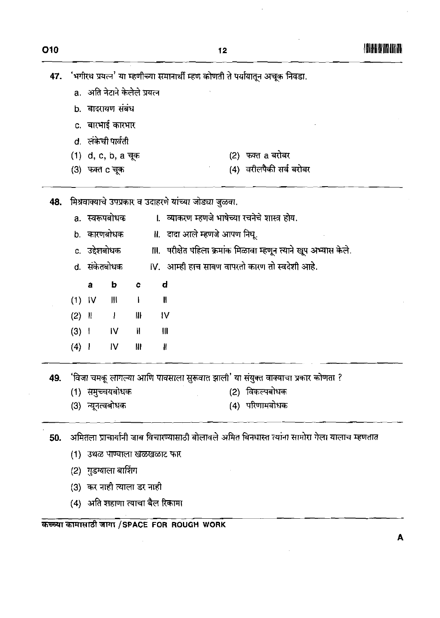'भगीरथ प्रयत्न' या म्हणीच्या समानार्थी म्हण कोणती ते पर्यायातून अचूक निवडा. 47. a. अति नेटाने केलेले प्रयत्न

b. बादरायण संबंध

c. बारभाई कारभार

d. लंकेची पार्वती

(1) d, c, b, a चूक

(3) फक्त c चूक

(2) फक्त a बरोबर

(4) वरीलपैकी सर्व बरोबर

48. मिश्रवाक्याचे उपप्रकार व उदाहरणे यांच्या जोड्या जुळवा.

- ।. व्याकरण म्हणजे भाषेच्या रचनेचे शास्त्र होय. a. स्वरूपबोधक ॥. दादा आले म्हणजे आपण निधू. b. कारणबोधक c. उद्देशबोधक III. परीक्षेत पहिला क्रमांक मिळावा म्हणून त्याने खूप अभ्यास केले.
- IV. आम्ही हाच साबण वापरतो कारण तो स्वदेशी आहे. d. संकेतबोधक

 $\overline{\mathbf{d}}$  $\overline{a}$  $\mathbf b$ Ċ  $(1)$  IV Ш  $\mathbf{I}$  $\mathbf{II}$  $(2)$  ||  $\mathbf{H}$  $\overline{1}$ IV  $(3) 1$ **IV**  $\mathbf{H}$  $\mathbf{III}$  $(4)$  |  $\overline{V}$  $\mathbf{H}$  $\boldsymbol{\eta}$ 

'विजा चमकू लागल्या आणि पावसाला सुरूवात झाली' या संयुक्त वाक्याचा प्रकार कोणता ? 49.

(1) समुच्चयबोधक

(2) विकल्पबोधक

(4) परिणामबोधक

(3) न्यूनत्वबोधक

अमितला प्राचार्यांनी जाब विचारण्यासाठी बोलावले अमित बिनधास्त त्यांना सामोरा गेला यालाच म्हणतात 50.

(1) उथळ पाण्याला खेळखळाट फार

(2) गुडग्याला बारिंग

(3) कर नाही त्याला डर नाही

(4) अति शहाणा त्याचा बैल रिकामा

कच्च्या कामासाठी जागा / SPACE FOR ROUGH WORK

A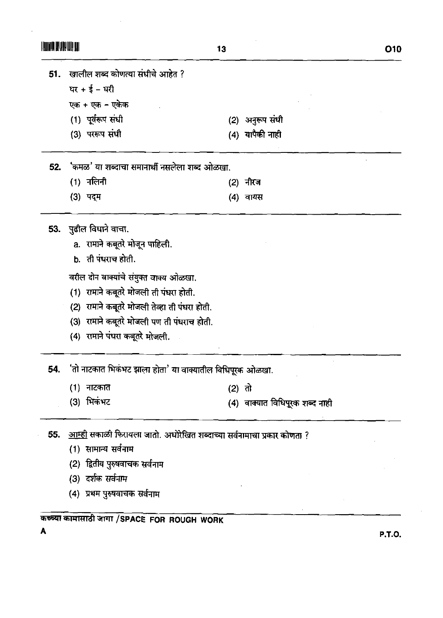| <b>MARIE DATA DA VI</b> |                                                                        | 13                             | O <sub>10</sub> |
|-------------------------|------------------------------------------------------------------------|--------------------------------|-----------------|
| 51.                     | खालील शब्द कोणत्या संधीचे आहेत ?<br>घर +ई - घरी<br>एक + एक - एकेक      |                                |                 |
|                         | (1) पूर्वरूप संधी                                                      | (2) अनुरूप संधी                |                 |
|                         | (3) पररूप संधी                                                         | (4) यापैकी नाही                |                 |
| 52.                     | ंकमळ' या शब्दाचा समानार्थी नसलेला शब्द ओळखा.                           |                                |                 |
|                         | (1) नलिनी                                                              | (2) नीरज                       |                 |
|                         | (3) पद्म                                                               | (4) वायस                       |                 |
|                         | 53. पुढील विधाने वाचा.                                                 |                                |                 |
|                         | a. रामाने कबूतरे मोजून पाहिली.                                         |                                |                 |
|                         | b. ती पंधराच होती.                                                     |                                |                 |
|                         | वरील दोन वाक्यांचे संयुक्त वाक्य ओळखा.                                 |                                |                 |
|                         | (1) रामाने कबूतरे मोजली ती पंधरा होती.                                 |                                |                 |
|                         | (2) रामाने कबूतरे मोजली तेव्हा ती पंधरा होती.                          |                                |                 |
|                         | (3) रामाने कबूतरे मोजली पण ती पंधराच होती.                             |                                |                 |
|                         | (4) रामाने पंधरा कबूतरे मोजली.                                         |                                |                 |
| 54.                     | 'तो नाटकात भिकंभट झाला होता' या वाक्यातील विधिपूरक ओळखा.               |                                |                 |
|                         | (1) नाटकात                                                             | (2) तो                         |                 |
|                         | (3) भिकंभट                                                             | (4) वाक्यात विधिपूरक शब्द नाही |                 |
| 55.                     | आम्ही सकाळी फिरायला जातो. अधोरेखित शब्दाच्या सर्वनामाचा प्रकार कोणता ? |                                |                 |
|                         | (1) सामान्य सर्वनाम                                                    |                                |                 |
|                         | (2) द्वितीय पुरुषवाचक सर्वनाम                                          |                                |                 |
|                         | (3) दर्शक सर्वनाम                                                      |                                |                 |
|                         | (4) प्रथम पुरुषवाचक सर्वनाम                                            |                                |                 |

कच्च्या कामासाठी जागा /SPACE FOR ROUGH WORK<br>A

 $\sim 10$ 

 $\mathcal{A}^{\mathcal{A}}$ 

**A P.T.O.** 

 $\mathcal{A}^{\mathcal{A}}$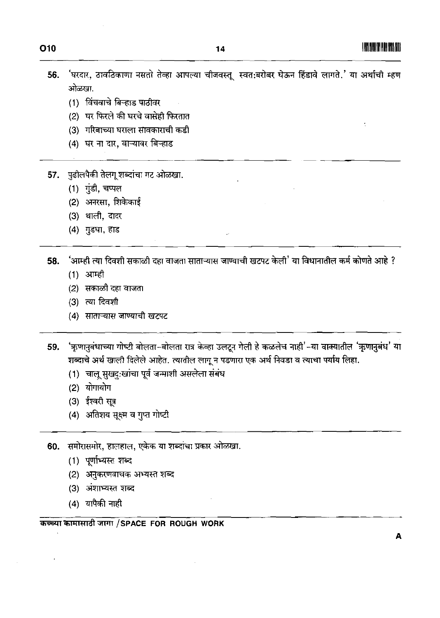$\tilde{\mathbb{C}}$ 

- 'घरदार, ठावठिकाणा नसतो तेव्हा आपल्या चीजवस्तू स्वत:बरोबर घेऊन हिंडावे लागते.' या अर्थाची म्हण 56. ओळखा.
	- (1) विंचवाचे बिऱ्हाड पाठीवर
	- (2) घर फिरले की घरचे वासेही फिरतात
	- (3) गरिबाच्या घराला सावकाराची कडी
	- (4) घर ना दार, वाऱ्यावर बिऱ्हाड
- 57. पुढीलपैकी तेलगू शब्दांचा गट ओळखा.
	- (1) गुंडी, चप्पल
	- (2) अनरसा, शिकेकाई
	- (3) थाली, दादर
	- (4) गुडधा, हाड

'आम्ही त्या दिवशी सकाळी दहा वाजता साताऱ्यास जाण्याची खटपट केली' या विधानातील कर्म कोणते आहे ? 58.

- (1) आम्ही
- (2) सकाळी दहा वाजता
- $(3)$  त्या दिवशी
- (4) साताऱ्यास जाण्याची खटपट
- 'ऋणानुबंधाच्या गोष्टी बोलता-बोलता रात्र केव्हा उलटून गेली हे कळलेच नाही'-या वाक्यातील 'ऋणानुबंध' या 59. शब्दाचे अर्थ खाली दिलेले आहेत. त्यातील लागू न पडणारा एक अर्थ निवडा व त्याचा पर्याय लिहा.
	- (1) चालू सुखदुःखांचा पूर्व जन्माशी असलेला संबंध
	- (2) योगायोग
	- (3) ईश्वरी सूत्र
	- (4) अतिशय सूक्ष्म व गुप्त गोष्टी
- 60. समोरासमोर, हालहाल, एकेक या शब्दांचा प्रकार ओळखा.
	- (1) पूर्णाभ्यस्त शब्द
	- (2) अनुकरणवाचक अभ्यस्त शब्द
	- (3) अंशाभ्यस्त शब्द
	- (4) यापैकी नाही

## कच्च्या कामासाठी जागा / SPACE FOR ROUGH WORK

A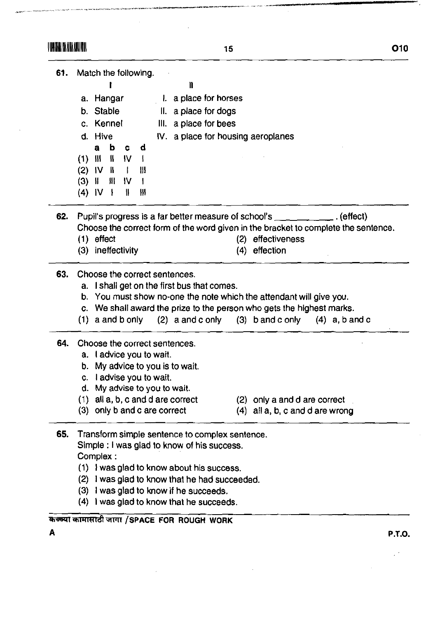~**15** 010 010

 $\hat{\mathcal{A}}$ 

| 61. | Match the following.                                                       |                                                                                    |  |  |  |
|-----|----------------------------------------------------------------------------|------------------------------------------------------------------------------------|--|--|--|
|     | N                                                                          |                                                                                    |  |  |  |
|     | l. a place for horses<br>a. Hangar                                         |                                                                                    |  |  |  |
|     | b. Stable<br>II. a place for dogs                                          |                                                                                    |  |  |  |
|     | c. Kennel<br>III. a place for bees                                         |                                                                                    |  |  |  |
|     | d. Hive                                                                    | IV. a place for housing aeroplanes                                                 |  |  |  |
|     | b c<br>d<br>a                                                              |                                                                                    |  |  |  |
|     | $(1)$ $  $ $  $<br>IV.                                                     |                                                                                    |  |  |  |
|     | $(2)$ IV II<br>$\mathbf{I}$<br>W                                           |                                                                                    |  |  |  |
|     | $(3)$ II<br>III IV                                                         |                                                                                    |  |  |  |
|     | $(4)$ iV $\frac{1}{2}$<br>₩<br>₩                                           |                                                                                    |  |  |  |
| 62. | Pupil's progress is a far better measure of school's ___________. (effect) |                                                                                    |  |  |  |
|     |                                                                            | Choose the correct form of the word given in the bracket to complete the sentence. |  |  |  |
|     | $(1)$ effect                                                               | effectiveness<br>(2)                                                               |  |  |  |
|     | (3) ineffectivity                                                          | (4) effection                                                                      |  |  |  |
| 63. | Choose the correct sentences.                                              |                                                                                    |  |  |  |
|     | a. I shall get on the first bus that comes.                                |                                                                                    |  |  |  |
|     | b. You must show no-one the note which the attendant will give you.        |                                                                                    |  |  |  |
|     | c. We shall award the prize to the person who gets the highest marks.      |                                                                                    |  |  |  |
|     | $(1)$ a and b only $(2)$ a and c only $(3)$ b and c only $(4)$ a, b and c  |                                                                                    |  |  |  |
| 64. | Choose the correct sentences.                                              |                                                                                    |  |  |  |
|     | a. I advice you to wait.                                                   |                                                                                    |  |  |  |
|     | b. My advice to you is to wait.                                            |                                                                                    |  |  |  |
|     | c. I advise you to wait.                                                   |                                                                                    |  |  |  |
|     | d. My advise to you to wait.                                               |                                                                                    |  |  |  |
|     | $(1)$ all a, b, c and d are correct                                        | (2) only a and d are correct                                                       |  |  |  |
|     | (3) only b and c are correct                                               | $(4)$ all a, b, c and d are wrong                                                  |  |  |  |
| 65. | Transform simple sentence to complex sentence.                             |                                                                                    |  |  |  |
|     | Simple : I was glad to know of his success.                                |                                                                                    |  |  |  |
|     | Complex:                                                                   |                                                                                    |  |  |  |
|     | (1) I was glad to know about his success.                                  |                                                                                    |  |  |  |
|     | (2) I was glad to know that he had succeeded.                              |                                                                                    |  |  |  |
|     | (3) I was glad to know if he succeeds.                                     |                                                                                    |  |  |  |
|     | (4) I was glad to know that he succeeds.                                   |                                                                                    |  |  |  |

 $\hat{\boldsymbol{\theta}}$ 

**A P.T.O.** 

 $\mathbb{R}^3$ 

۳.,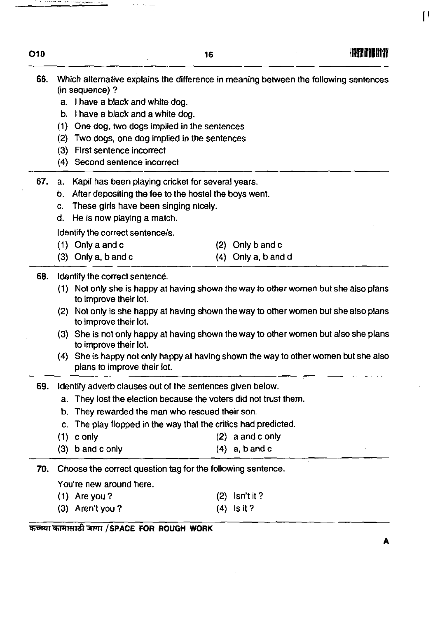|     |     |                                                                               | 16  | k arawan ing ing man                                                                                                                                                                                                                                      |  |  |
|-----|-----|-------------------------------------------------------------------------------|-----|-----------------------------------------------------------------------------------------------------------------------------------------------------------------------------------------------------------------------------------------------------------|--|--|
| 66. |     |                                                                               |     | Which alternative explains the difference in meaning between the following sentences                                                                                                                                                                      |  |  |
|     |     | (in sequence)?                                                                |     |                                                                                                                                                                                                                                                           |  |  |
|     |     | a. I have a black and white dog.                                              |     |                                                                                                                                                                                                                                                           |  |  |
|     | b.  | I have a black and a white dog.<br>One dog, two dogs implied in the sentences |     |                                                                                                                                                                                                                                                           |  |  |
|     | (1) |                                                                               |     |                                                                                                                                                                                                                                                           |  |  |
|     | (2) | Two dogs, one dog implied in the sentences                                    |     |                                                                                                                                                                                                                                                           |  |  |
|     | (3) | First sentence incorrect<br>(4) Second sentence incorrect                     |     |                                                                                                                                                                                                                                                           |  |  |
|     |     |                                                                               |     |                                                                                                                                                                                                                                                           |  |  |
| 67. | a.  | Kapil has been playing cricket for several years.                             |     |                                                                                                                                                                                                                                                           |  |  |
|     | b.  | After depositing the fee to the hostel the boys went.                         |     |                                                                                                                                                                                                                                                           |  |  |
|     | C.  | These girls have been singing nicely.                                         |     |                                                                                                                                                                                                                                                           |  |  |
|     | d.  | He is now playing a match.                                                    |     |                                                                                                                                                                                                                                                           |  |  |
|     |     | Identify the correct sentence/s.                                              |     |                                                                                                                                                                                                                                                           |  |  |
|     |     | $(1)$ Only a and c                                                            | (2) | Only b and c                                                                                                                                                                                                                                              |  |  |
|     |     | $(3)$ Only a, b and c                                                         | (4) | Only a, b and d                                                                                                                                                                                                                                           |  |  |
| 68. |     | Identify the correct sentence.                                                |     |                                                                                                                                                                                                                                                           |  |  |
|     |     |                                                                               |     | (1) Not only she is happy at having shown the way to other women but she also plans                                                                                                                                                                       |  |  |
|     |     | to improve their lot.                                                         |     |                                                                                                                                                                                                                                                           |  |  |
|     | (2) | to improve their lot.                                                         |     |                                                                                                                                                                                                                                                           |  |  |
|     |     | to improve their lot.                                                         |     |                                                                                                                                                                                                                                                           |  |  |
|     | (4) | plans to improve their lot.                                                   |     |                                                                                                                                                                                                                                                           |  |  |
| 69. |     | Identify adverb clauses out of the sentences given below.                     |     |                                                                                                                                                                                                                                                           |  |  |
|     | a.  | They lost the election because the voters did not trust them.                 |     | Not only is she happy at having shown the way to other women but she also plans<br>(3) She is not only happy at having shown the way to other women but also she plans<br>She is happy not only happy at having shown the way to other women but she also |  |  |
|     | b.  | They rewarded the man who rescued their son.                                  |     |                                                                                                                                                                                                                                                           |  |  |
|     | C.  | The play flopped in the way that the critics had predicted.                   |     |                                                                                                                                                                                                                                                           |  |  |
|     | (1) | c only                                                                        | (2) | a and c only                                                                                                                                                                                                                                              |  |  |
|     | (3) | b and c only                                                                  | (4) | a, b and c                                                                                                                                                                                                                                                |  |  |
| 70. |     | Choose the correct question tag for the following sentence.                   |     |                                                                                                                                                                                                                                                           |  |  |
|     |     | You're new around here.                                                       |     |                                                                                                                                                                                                                                                           |  |  |
|     |     | $(1)$ Are you ?                                                               | (2) | Isn't it?                                                                                                                                                                                                                                                 |  |  |

 $\mathcal{L}^{\text{max}}_{\text{max}}$  and  $\mathcal{L}^{\text{max}}_{\text{max}}$ 

 $\mathcal{L}^{\text{max}}_{\text{max}}$  , where  $\mathcal{L}^{\text{max}}_{\text{max}}$ 

 $\omega_{\rm{eff}}=1.2\pm1.2$ 

 $\hat{\mathcal{L}}$ 

**A** 

 $\mathcal{F}$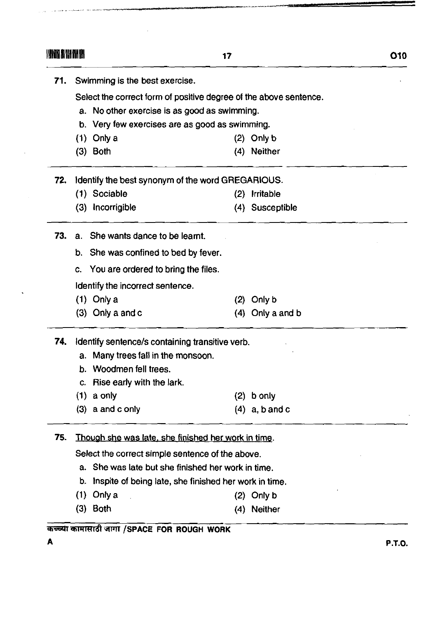| S SERIOR AN HALLAND IVE |                                                                   | 17                                              |                  |  |  |  |  |  |  |  |  |
|-------------------------|-------------------------------------------------------------------|-------------------------------------------------|------------------|--|--|--|--|--|--|--|--|
| 71.                     | Swimming is the best exercise.                                    |                                                 |                  |  |  |  |  |  |  |  |  |
|                         | Select the correct form of positive degree of the above sentence. |                                                 |                  |  |  |  |  |  |  |  |  |
|                         |                                                                   | a. No other exercise is as good as swimming.    |                  |  |  |  |  |  |  |  |  |
|                         |                                                                   | b. Very few exercises are as good as swimming.  |                  |  |  |  |  |  |  |  |  |
|                         | $(1)$ Only a                                                      |                                                 | $(2)$ Only b     |  |  |  |  |  |  |  |  |
|                         | $(3)$ Both                                                        | (4)                                             | <b>Neither</b>   |  |  |  |  |  |  |  |  |
| 72.                     | Identify the best synonym of the word GREGARIOUS.                 |                                                 |                  |  |  |  |  |  |  |  |  |
|                         | (1) Sociable                                                      | (2)                                             | <b>Irritable</b> |  |  |  |  |  |  |  |  |
|                         | (3) Incorrigible                                                  |                                                 | (4) Susceptible  |  |  |  |  |  |  |  |  |
| 73.                     | She wants dance to be learnt.<br>a.                               |                                                 |                  |  |  |  |  |  |  |  |  |
|                         | She was confined to bed by fever.<br>b.                           |                                                 |                  |  |  |  |  |  |  |  |  |
|                         | You are ordered to bring the files.<br>C.                         |                                                 |                  |  |  |  |  |  |  |  |  |
|                         | Identify the incorrect sentence.                                  |                                                 |                  |  |  |  |  |  |  |  |  |
|                         | $(1)$ Only a                                                      | (2)                                             | Only b           |  |  |  |  |  |  |  |  |
|                         | $(3)$ Only a and c                                                | (4)                                             | Only a and b     |  |  |  |  |  |  |  |  |
| 74.                     |                                                                   | Identify sentence/s containing transitive verb. |                  |  |  |  |  |  |  |  |  |
|                         | a. Many trees fall in the monsoon.                                |                                                 |                  |  |  |  |  |  |  |  |  |
|                         | Woodmen fell trees.<br>b.                                         |                                                 |                  |  |  |  |  |  |  |  |  |
|                         | Rise early with the lark.<br>C.                                   |                                                 |                  |  |  |  |  |  |  |  |  |
|                         | a only<br>(1)                                                     |                                                 | $(2)$ b only     |  |  |  |  |  |  |  |  |
|                         | $(3)$ a and c only                                                |                                                 | $(4)$ a, b and c |  |  |  |  |  |  |  |  |
| 75.                     | Though she was late, she finished her work in time.               |                                                 |                  |  |  |  |  |  |  |  |  |
|                         | Select the correct simple sentence of the above.                  |                                                 |                  |  |  |  |  |  |  |  |  |
|                         | a. She was late but she finished her work in time.                |                                                 |                  |  |  |  |  |  |  |  |  |
|                         | Inspite of being late, she finished her work in time.<br>b.       |                                                 |                  |  |  |  |  |  |  |  |  |
|                         | Only a<br>(1)                                                     | (2)                                             | Only b           |  |  |  |  |  |  |  |  |
|                         | $(3)$ Both                                                        |                                                 | (4) Neither      |  |  |  |  |  |  |  |  |
|                         | कच्च्या कामासाठी जागा /SPACE_FOR_ROUGH_WORK                       |                                                 |                  |  |  |  |  |  |  |  |  |

**WMlU& WW /SPACE FOR ROUGH WORK** 

.<br>محمد المدار

 $\mathcal{A}^{\mathrm{c}}$  and  $\mathcal{A}^{\mathrm{c}}$ 

 $\mathbf{v} = \mathbf{v}$ 

 $\mathcal{L}^{\text{max}}_{\text{max}}$  , where  $\mathcal{L}^{\text{max}}_{\text{max}}$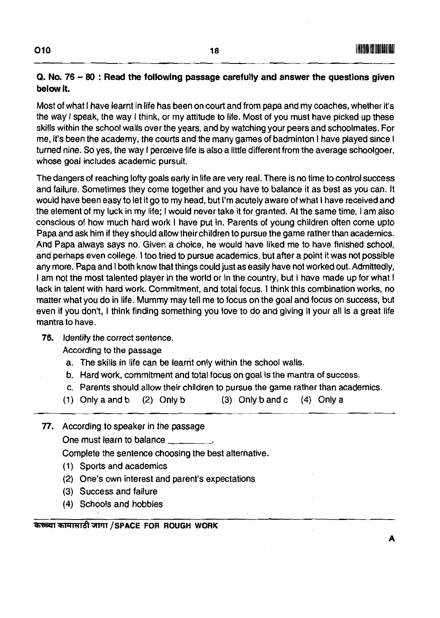### Q. No. 76 - 80 : Read the following passage carefully and answer the questions given below it.

Most of what I have learnt in life has been on court and from papa and my coaches, whether it's the way I speak, the way I think, or my attitude to life. Most of you must have picked up these skills within the school walls over the years, and by watching your peers and schoolmates. For me, it's been the academy, the courts and the many games of badminton I have played since I turned nine. So yes, the way I perceive life is also a little different from the average schoolgoer, whose goal includes academic pursuit.

The dangers of reaching lofty goals early in life are very real. There is no time to control success and failure. Sometimes they come together and you have to balance it as best as you can. It would have been easy to let it go to my head, but I'm acutely aware of what I have received and the element of my luck in my life; I would never take it for granted. At the same time, I am also conscious of how much hard work I have put in. Parents of young children often come upto Papa and ask him if they should allow their children to pursue the game rather than academics. And Papa always says no. Given a choice, he would have liked me to have finished school, and perhaps even college. I too tried to pursue academics, but after a point it was not possible any more. Papa and I both know that things could just as easily have not worked out. Admittedly, I am not the most talented player in the world or in the country, but I have made up for what I lack in talent with hard work. Commitment, and total focus. I think this combination works, no matter what you do in life. Mummy may tell me to focus on the goal and focus on success, but even if you don't, I think finding something you love to do and giving it your all is a great life mantra to have.

76. Identify the correct sentence.

According to the passage

- a. The skills in life can be learnt only within the school walls.
- b. Hard work, commitment and total focus on goal is the mantra of success.
- c. Parents should allow their children to pursue the game rather than academics.
- (1) Only a and b  $(2)$  Only b  $(3)$  Only b and c  $(4)$  Only a -
- 77. According to speaker in the passage One must learn to balance

Complete the sentence choosing the best alternative.

- (1) Sports and academics
- (2) One's own interest and parent's expectations
- (3) Success and failure
- (4) Schools and hobbies

**~&~~T/sPAcE FOR ROUGH WORK**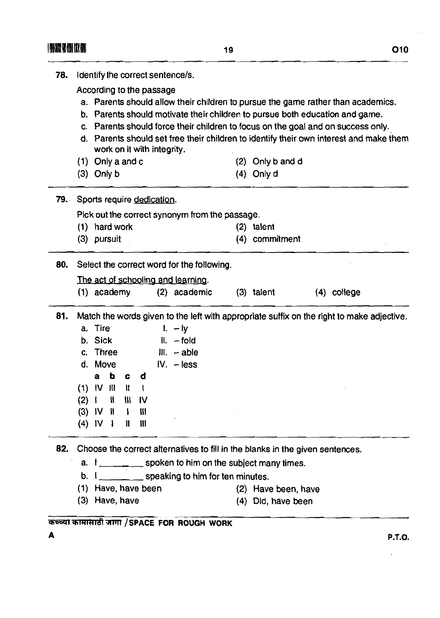| 78. | Identify the correct sentence/s.                                                                                                                                                                                                                                                                                                                                                                         |         |                        |   |           |                                |                                                  |  |                    |  |  |             |  |
|-----|----------------------------------------------------------------------------------------------------------------------------------------------------------------------------------------------------------------------------------------------------------------------------------------------------------------------------------------------------------------------------------------------------------|---------|------------------------|---|-----------|--------------------------------|--------------------------------------------------|--|--------------------|--|--|-------------|--|
|     | According to the passage<br>a. Parents should allow their children to pursue the game rather than academics.<br>b. Parents should motivate their children to pursue both education and game.<br>c. Parents should force their children to focus on the goal and on success only.<br>d. Parents should set free their children to identify their own interest and make them<br>work on it with integrity. |         |                        |   |           |                                |                                                  |  |                    |  |  |             |  |
|     | (1) Only a and c                                                                                                                                                                                                                                                                                                                                                                                         |         |                        |   |           |                                |                                                  |  | $(2)$ Only b and d |  |  |             |  |
|     |                                                                                                                                                                                                                                                                                                                                                                                                          |         | $(3)$ Only b           |   |           |                                |                                                  |  | $(4)$ Only d       |  |  |             |  |
|     |                                                                                                                                                                                                                                                                                                                                                                                                          |         |                        |   |           | 79. Sports require dedication. |                                                  |  |                    |  |  |             |  |
|     | Pick out the correct synonym from the passage.                                                                                                                                                                                                                                                                                                                                                           |         |                        |   |           |                                |                                                  |  |                    |  |  |             |  |
|     |                                                                                                                                                                                                                                                                                                                                                                                                          |         | $(1)$ hard work        |   |           |                                |                                                  |  | $(2)$ talent       |  |  |             |  |
|     |                                                                                                                                                                                                                                                                                                                                                                                                          |         | (3) pursuit            |   |           |                                |                                                  |  | (4) commitment     |  |  |             |  |
| 80. | Select the correct word for the following.                                                                                                                                                                                                                                                                                                                                                               |         |                        |   |           |                                |                                                  |  |                    |  |  |             |  |
|     | The act of schooling and learning.                                                                                                                                                                                                                                                                                                                                                                       |         |                        |   |           |                                |                                                  |  |                    |  |  |             |  |
|     |                                                                                                                                                                                                                                                                                                                                                                                                          |         | $(1)$ academy          |   |           |                                | (2) academic                                     |  | $(3)$ talent       |  |  | (4) college |  |
| 81. | Match the words given to the left with appropriate suffix on the right to make adjective.                                                                                                                                                                                                                                                                                                                |         |                        |   |           |                                |                                                  |  |                    |  |  |             |  |
|     |                                                                                                                                                                                                                                                                                                                                                                                                          | a. Tire |                        |   |           |                                | $l. - ly$                                        |  |                    |  |  |             |  |
|     |                                                                                                                                                                                                                                                                                                                                                                                                          | b. Sick |                        |   |           |                                | $II. - fold$                                     |  |                    |  |  |             |  |
|     | c. Three                                                                                                                                                                                                                                                                                                                                                                                                 |         |                        |   |           | $III. -able$                   |                                                  |  |                    |  |  |             |  |
|     |                                                                                                                                                                                                                                                                                                                                                                                                          | d. Move |                        |   |           |                                | $IV. - less$                                     |  |                    |  |  |             |  |
|     |                                                                                                                                                                                                                                                                                                                                                                                                          | а       | b                      | c | đ         |                                |                                                  |  |                    |  |  |             |  |
|     | $(1)$ IV                                                                                                                                                                                                                                                                                                                                                                                                 |         | W                      | Ш |           |                                |                                                  |  |                    |  |  |             |  |
|     | $(2)$ i                                                                                                                                                                                                                                                                                                                                                                                                  |         | 8                      | Ш | <b>IV</b> |                                |                                                  |  |                    |  |  |             |  |
|     |                                                                                                                                                                                                                                                                                                                                                                                                          |         | $(3)$ IV $\parallel$ I |   | M         |                                |                                                  |  |                    |  |  |             |  |
|     | $(4)$ IV 1                                                                                                                                                                                                                                                                                                                                                                                               |         |                        | Ш | W         |                                |                                                  |  |                    |  |  |             |  |
| 82. | Choose the correct alternatives to fill in the blanks in the given sentences.                                                                                                                                                                                                                                                                                                                            |         |                        |   |           |                                |                                                  |  |                    |  |  |             |  |
|     | a. I spoken to him on the subject many times.                                                                                                                                                                                                                                                                                                                                                            |         |                        |   |           |                                |                                                  |  |                    |  |  |             |  |
|     |                                                                                                                                                                                                                                                                                                                                                                                                          |         |                        |   |           |                                | $b.$ $l$ $\sim$ speaking to him for ten minutes. |  |                    |  |  |             |  |
|     | (1) Have, have been<br>(2) Have been, have                                                                                                                                                                                                                                                                                                                                                               |         |                        |   |           |                                |                                                  |  |                    |  |  |             |  |
|     | (3) Have, have                                                                                                                                                                                                                                                                                                                                                                                           |         |                        |   |           |                                |                                                  |  |                    |  |  |             |  |
|     |                                                                                                                                                                                                                                                                                                                                                                                                          |         |                        |   |           |                                |                                                  |  | (4) Did, have been |  |  |             |  |

 $\bar{\zeta}$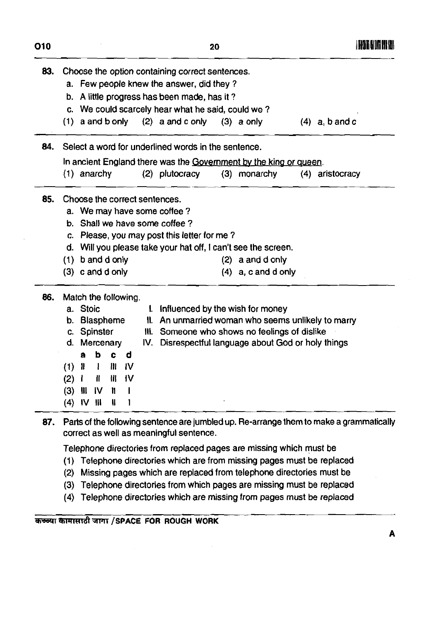| 010 |                                                                                                                                                                                                                                                                                                           | 20                                                                                                                                                                                         | I DAVIDID DI QATI BU SUBS |  |  |  |  |  |  |
|-----|-----------------------------------------------------------------------------------------------------------------------------------------------------------------------------------------------------------------------------------------------------------------------------------------------------------|--------------------------------------------------------------------------------------------------------------------------------------------------------------------------------------------|---------------------------|--|--|--|--|--|--|
| 83. | Choose the option containing correct sentences.<br>a. Few people knew the answer, did they?<br>b. A little progress has been made, has it?<br>c. We could scarcely hear what he said, could we?<br>(1) a and b only $(2)$ a and c only<br>$(3)$ a only<br>$(4)$ a, b and c                                |                                                                                                                                                                                            |                           |  |  |  |  |  |  |
| 84. | Select a word for underlined words in the sentence.<br>In ancient England there was the Government by the king or queen.<br>$(1)$ anarchy<br>(2) plutocracy                                                                                                                                               | (3) monarchy                                                                                                                                                                               | (4) aristocracy           |  |  |  |  |  |  |
| 85. | Choose the correct sentences.<br>a. We may have some coffee ?<br>b. Shall we have some coffee?<br>c. Please, you may post this letter for me?<br>d. Will you please take your hat off, I can't see the screen.<br>$(1)$ b and d only<br>$(2)$ a and d only<br>$(3)$ c and d only<br>$(4)$ a, c and d only |                                                                                                                                                                                            |                           |  |  |  |  |  |  |
| 86. | Match the following.<br>a. Stoic<br>$\mathbf{L}$<br>b. Blaspheme<br>H.<br>c. Spinster<br>d. Mercenary<br>b<br>C<br>d<br>Э<br>$(1)$ H<br>III IV<br>$\mathbf{I}$<br><b>IV</b><br>帯<br>(2)<br>Ш.<br>$(3)$ III<br><b>IV</b><br>$\mathbf l$<br>$\mathbf{H}$<br>(4)<br>łl<br>IV.                                | Influenced by the wish for money<br>An unmarried woman who seems unlikely to marry<br>III. Someone who shows no feelings of dislike<br>IV. Disrespectful language about God or holy things |                           |  |  |  |  |  |  |

87. Parts of the following sentence are jumbled up. Re-arrange them to make a grammatically correct as well as meaningful sentence.

Telephone directories from replaced pages are missing which must be

- (1) Telephone directories which are from missing pages must be replaced
- (2) Missing pages which are replaced from telephone directories must be
- (3) Telephone directories from which pages are missing must be replaced
- (4) Telephone directories which are missing from pages must be replaced

**कल्या कामासाठी जागा /SPACE FOR ROUGH WORK** 

.<br>1980 - Paul Marie de La Paul Marie de Brasil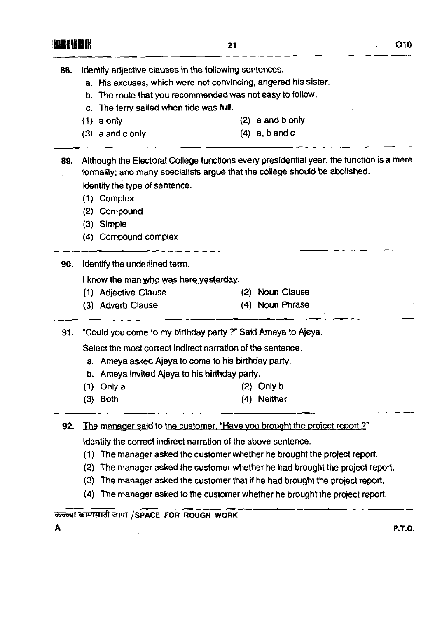- -

88. Identify adjective clauses in the following sentences.

- a. His excuses, which were not convincing, angered his sister.
- b. The route that you recommended was not easy to follow.
- c. The ferry sailed when tide was full.
- (1) a only (2) a and b only
- $(3)$  a and c only  $(4)$  a, b and c

**89.** Although the Electoral College functions every presidential year, the function is a mere formality; and many specialists argue that the college should be abolished. ldentify the type of sentence.

- **(1)** Complex
- (2) Compound
- (3) Simple
- (4) Compound complex

**90.** Identify the underlined term.

I know the man who was here vesterday.

- (1) Adjective Clause (2) Noun Clause
- (3) Adverb Clause (4) Noun Phrase

91. 'Could you come to my birthday party ?" Said Ameya to Ajeya.

Select the most correct indirect narration of the sentence.

- a. Ameya asked Ajeya to come to his birthday party.
- b. Ameya invited Ajeya to his birthday party.
- (1) Only a (2) Only b
- (3) Both (4) Neither

#### **92.** The manager said to the customer. "Have you brought the project report ?"

ldentify the correct indirect narration of the above sentence.

- (1) The manager asked the customerwhether he brought the project report.
- (2) The manager asked the customer whether he had brought the project report.
- (3) The manager asked the customer that if he had brought the project report.
- (4) The manager asked to the customer whether he brought the project report.

~ammnftm **/SPACE FOR ROUGH WORK**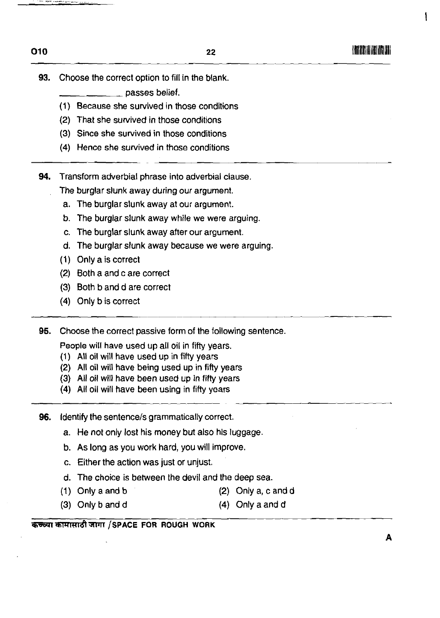93. Choose the correct option to fill in the blank.

passes belief.

- (1) Because she survived in those conditions
- (2) That she survived in those conditions
- (3) Since she survived in those conditions
- (4) Hence she survived in those conditions - -
- 94. Transform adverbial phrase into adverbial clause.

The burglar slunk away during our argument.

- a. The burglar slunk away at our argument.
- b. The burglar slunk away while we were arguing.
- c. The burglar slunk away after our argument.
- d. The burglar slunk away because we were arguing.
- (1) Only a is correct
- (2) Both a and c are correct
- (3) Both b and d are correct
- (4) Only b is correct
- 95. Choose the correct passive form of the following sentence.

People will have used up all oil in fifly years.

- (1) All oil will have used up in fifty years
- (2) All oil will have being used up in fifty years
- (3) All oil will have been used up in fifly years
- (4) All oil will have been using in fifty years
- **96.** Identify the sentence/s grammatically correct.
	- a. He not only lost his money but also his luggage.
	- b. As long as you work hard, you will improve.
	- c. Either the action was just or unjust.
	- d. The choice is between the devil and the deep sea.
	- (1) Only a and b (2) Only a, c and d
	- (3) Only b and d (4) Only a and d

कच्च्या कामासाठी जागा / SPACE FOR ROUGH WORK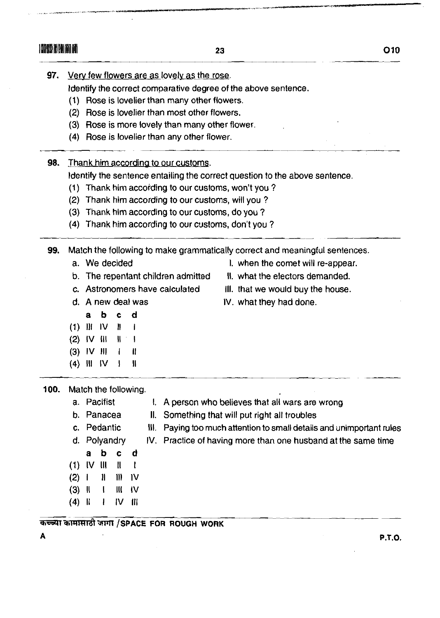97. Very few flowers are as lovely as the rose.

ldentify the correct comparative degree of the above sentence.

- (1) Rose is lovelier than many other flowers.
- (2) Rose is lovelier than most other flowers.
- (3) Rose is more lovely than many other flower.
- (4) Rose is lovelier than any other flower.
- 98. Thank him accordina to our customs.

Identify the sentence entailing the correct question to the above sentence.

- (1) Thank him accoiding to our customs, won't you ?
- (2) Thank him according to our customs, will you ?
- (3) Thank him according to our customs, do you ?
- (4) Thank him according to our customs, don't you ?

99. Match the following to make grammatically correct and meaningful sentences.

- 
- b. The repentant children admitted II. what the electors demanded.
- c. Astronomers have calculated III. that we would buy the house.
- - **abcd**
- $(1)$  III IV  $\|$  i
- $(2)$  IV III  $\|$  |
- $(3)$  IV III 1 II
- $(4)$  III IV I II

**100.** Match the following.

- a. Pacifist I. A person who believes that all wars are wrong b. Panacea II. Something that will put right all troubles c. Pedantic **III.** Paying too much attention to small details and unimportant rules
- d. Polyandry IV. Practice of having more than one husband at the same time
- **abcd**
- $(1)$  IV III  $11$  I
- $(2)$  1 11 11 IV
- $(3)$  || || ||| || ||
- $(4)$   $||$   $||$   $||$   $||$

#### कच्च्या कामासाठी जागा /SPACE FOR ROUGH WORK

**A P.T.O.** 

- a. We decided **I.** when the comet will re-appear.
	-
	-
- d. A new deal was **IV.** what they had done.